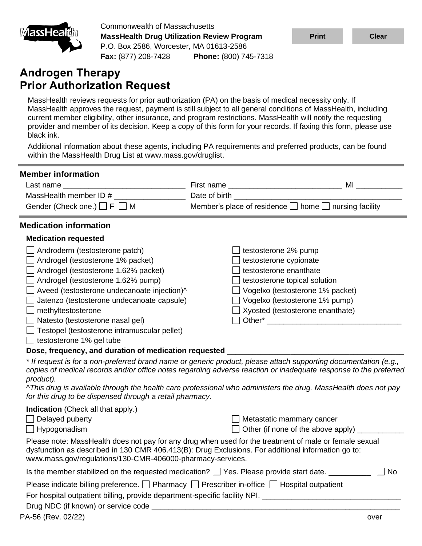

Commonwealth of Massachusetts **MassHealth Drug Utilization Review Program** P.O. Box 2586, Worcester, MA 01613-2586 **Fax:** (877) 208-7428 **Phone:** (800) 745-7318

## **Androgen Therapy Prior Authorization Request**

MassHealth reviews requests for prior authorization (PA) on the basis of medical necessity only. If MassHealth approves the request, payment is still subject to all general conditions of MassHealth, including current member eligibility, other insurance, and program restrictions. MassHealth will notify the requesting provider and member of its decision. Keep a copy of this form for your records. If faxing this form, please use black ink.

Additional information about these agents, including PA requirements and preferred products, can be found within the MassHealth Drug List at www.mass.gov/druglist.

| <b>Member information</b>                                                                                                                                                                                                                                                  |                                                                                                                                                                                                                                |                                                                                                                                                                                                                                     |  |  |  |
|----------------------------------------------------------------------------------------------------------------------------------------------------------------------------------------------------------------------------------------------------------------------------|--------------------------------------------------------------------------------------------------------------------------------------------------------------------------------------------------------------------------------|-------------------------------------------------------------------------------------------------------------------------------------------------------------------------------------------------------------------------------------|--|--|--|
| Last name                                                                                                                                                                                                                                                                  |                                                                                                                                                                                                                                | <b>MI</b> and the state of the state of the state of the state of the state of the state of the state of the state of the state of the state of the state of the state of the state of the state of the state of the state of the s |  |  |  |
| MassHealth member ID #                                                                                                                                                                                                                                                     |                                                                                                                                                                                                                                |                                                                                                                                                                                                                                     |  |  |  |
| Gender (Check one.) $\Box$ F $\Box$ M                                                                                                                                                                                                                                      | Member's place of residence □ home □ nursing facility                                                                                                                                                                          |                                                                                                                                                                                                                                     |  |  |  |
| <b>Medication information</b>                                                                                                                                                                                                                                              |                                                                                                                                                                                                                                |                                                                                                                                                                                                                                     |  |  |  |
| <b>Medication requested</b>                                                                                                                                                                                                                                                |                                                                                                                                                                                                                                |                                                                                                                                                                                                                                     |  |  |  |
| Androderm (testosterone patch)<br>Androgel (testosterone 1% packet)                                                                                                                                                                                                        | testosterone 2% pump<br>testosterone cypionate                                                                                                                                                                                 |                                                                                                                                                                                                                                     |  |  |  |
| Androgel (testosterone 1.62% packet)                                                                                                                                                                                                                                       | testosterone enanthate                                                                                                                                                                                                         |                                                                                                                                                                                                                                     |  |  |  |
| Androgel (testosterone 1.62% pump)                                                                                                                                                                                                                                         | testosterone topical solution                                                                                                                                                                                                  |                                                                                                                                                                                                                                     |  |  |  |
| Aveed (testosterone undecanoate injection)^                                                                                                                                                                                                                                | □ Vogelxo (testosterone 1% packet)                                                                                                                                                                                             |                                                                                                                                                                                                                                     |  |  |  |
| Jatenzo (testosterone undecanoate capsule)                                                                                                                                                                                                                                 | $\Box$ Vogelxo (testosterone 1% pump)                                                                                                                                                                                          |                                                                                                                                                                                                                                     |  |  |  |
| $\Box$ methyltestosterone                                                                                                                                                                                                                                                  | $\Box$ Xyosted (testosterone enanthate)                                                                                                                                                                                        |                                                                                                                                                                                                                                     |  |  |  |
| Natesto (testosterone nasal gel)                                                                                                                                                                                                                                           | Other* The Communication of the Communication of the Communication of the Communication of the Communication of the Communication of the Communication of the Communication of the Communication of the Communication of the C |                                                                                                                                                                                                                                     |  |  |  |
| $\Box$ Testopel (testosterone intramuscular pellet)                                                                                                                                                                                                                        |                                                                                                                                                                                                                                |                                                                                                                                                                                                                                     |  |  |  |
| $\Box$ testosterone 1% gel tube                                                                                                                                                                                                                                            |                                                                                                                                                                                                                                |                                                                                                                                                                                                                                     |  |  |  |
| Dose, frequency, and duration of medication requested __________________________                                                                                                                                                                                           |                                                                                                                                                                                                                                |                                                                                                                                                                                                                                     |  |  |  |
| * If request is for a non-preferred brand name or generic product, please attach supporting documentation (e.g.,<br>copies of medical records and/or office notes regarding adverse reaction or inadequate response to the preferred<br>product).                          |                                                                                                                                                                                                                                |                                                                                                                                                                                                                                     |  |  |  |
| ^This drug is available through the health care professional who administers the drug. MassHealth does not pay<br>for this drug to be dispensed through a retail pharmacy.                                                                                                 |                                                                                                                                                                                                                                |                                                                                                                                                                                                                                     |  |  |  |
| <b>Indication</b> (Check all that apply.)                                                                                                                                                                                                                                  |                                                                                                                                                                                                                                |                                                                                                                                                                                                                                     |  |  |  |
| $\Box$ Delayed puberty                                                                                                                                                                                                                                                     | Metastatic mammary cancer                                                                                                                                                                                                      |                                                                                                                                                                                                                                     |  |  |  |
| $\Box$ Hypogonadism                                                                                                                                                                                                                                                        | Other (if none of the above apply)                                                                                                                                                                                             |                                                                                                                                                                                                                                     |  |  |  |
| Please note: MassHealth does not pay for any drug when used for the treatment of male or female sexual<br>dysfunction as described in 130 CMR 406.413(B): Drug Exclusions. For additional information go to:<br>www.mass.gov/regulations/130-CMR-406000-pharmacy-services. |                                                                                                                                                                                                                                |                                                                                                                                                                                                                                     |  |  |  |
|                                                                                                                                                                                                                                                                            |                                                                                                                                                                                                                                | No                                                                                                                                                                                                                                  |  |  |  |
| Please indicate billing preference. $\Box$ Pharmacy $\Box$ Prescriber in-office $\Box$ Hospital outpatient<br>For hospital outpatient billing, provide department-specific facility NPI. ________________________                                                          |                                                                                                                                                                                                                                |                                                                                                                                                                                                                                     |  |  |  |
|                                                                                                                                                                                                                                                                            |                                                                                                                                                                                                                                |                                                                                                                                                                                                                                     |  |  |  |
| PA-56 (Rev. 02/22)                                                                                                                                                                                                                                                         |                                                                                                                                                                                                                                | over                                                                                                                                                                                                                                |  |  |  |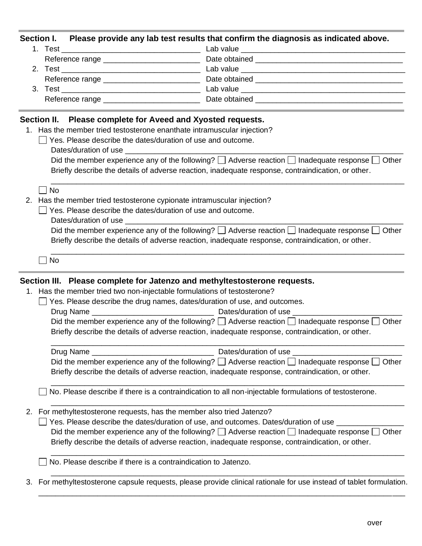|    |                                                                                     | Section I. Please provide any lab test results that confirm the diagnosis as indicated above.                      |  |  |  |  |
|----|-------------------------------------------------------------------------------------|--------------------------------------------------------------------------------------------------------------------|--|--|--|--|
|    |                                                                                     |                                                                                                                    |  |  |  |  |
|    |                                                                                     |                                                                                                                    |  |  |  |  |
|    |                                                                                     |                                                                                                                    |  |  |  |  |
|    |                                                                                     |                                                                                                                    |  |  |  |  |
|    |                                                                                     |                                                                                                                    |  |  |  |  |
|    |                                                                                     |                                                                                                                    |  |  |  |  |
|    | Section II. Please complete for Aveed and Xyosted requests.                         |                                                                                                                    |  |  |  |  |
|    | 1. Has the member tried testosterone enanthate intramuscular injection?             |                                                                                                                    |  |  |  |  |
|    | Yes. Please describe the dates/duration of use and outcome.                         |                                                                                                                    |  |  |  |  |
|    |                                                                                     | Did the member experience any of the following? $\Box$ Adverse reaction $\Box$ Inadequate response $\Box$ Other    |  |  |  |  |
|    |                                                                                     | Briefly describe the details of adverse reaction, inadequate response, contraindication, or other.                 |  |  |  |  |
|    | <b>No</b>                                                                           |                                                                                                                    |  |  |  |  |
| 2. | Has the member tried testosterone cypionate intramuscular injection?                |                                                                                                                    |  |  |  |  |
|    | Yes. Please describe the dates/duration of use and outcome.                         |                                                                                                                    |  |  |  |  |
|    |                                                                                     |                                                                                                                    |  |  |  |  |
|    |                                                                                     | Did the member experience any of the following? $\Box$ Adverse reaction $\Box$ Inadequate response $\Box$ Other    |  |  |  |  |
|    |                                                                                     | Briefly describe the details of adverse reaction, inadequate response, contraindication, or other.                 |  |  |  |  |
|    | <b>No</b>                                                                           |                                                                                                                    |  |  |  |  |
|    | Section III. Please complete for Jatenzo and methyltestosterone requests.           |                                                                                                                    |  |  |  |  |
|    | 1. Has the member tried two non-injectable formulations of testosterone?            |                                                                                                                    |  |  |  |  |
|    | $\Box$ Yes. Please describe the drug names, dates/duration of use, and outcomes.    |                                                                                                                    |  |  |  |  |
|    |                                                                                     |                                                                                                                    |  |  |  |  |
|    |                                                                                     | Did the member experience any of the following? $\Box$ Adverse reaction $\Box$ Inadequate response $\Box$<br>Other |  |  |  |  |
|    |                                                                                     | Briefly describe the details of adverse reaction, inadequate response, contraindication, or other.                 |  |  |  |  |
|    | Drug Name                                                                           | Dates/duration of use                                                                                              |  |  |  |  |
|    |                                                                                     | Did the member experience any of the following? $\Box$ Adverse reaction $\Box$ Inadequate response $\Box$ Other    |  |  |  |  |
|    |                                                                                     | Briefly describe the details of adverse reaction, inadequate response, contraindication, or other.                 |  |  |  |  |
|    |                                                                                     | No. Please describe if there is a contraindication to all non-injectable formulations of testosterone.             |  |  |  |  |
| 2. | For methyltestosterone requests, has the member also tried Jatenzo?                 |                                                                                                                    |  |  |  |  |
|    | Yes. Please describe the dates/duration of use, and outcomes. Dates/duration of use |                                                                                                                    |  |  |  |  |
|    |                                                                                     | Did the member experience any of the following? $\Box$ Adverse reaction $\Box$ Inadequate response [<br>Other      |  |  |  |  |
|    |                                                                                     | Briefly describe the details of adverse reaction, inadequate response, contraindication, or other.                 |  |  |  |  |
|    | No. Please describe if there is a contraindication to Jatenzo.                      |                                                                                                                    |  |  |  |  |
| 3. |                                                                                     | For methyltestosterone capsule requests, please provide clinical rationale for use instead of tablet formulation.  |  |  |  |  |